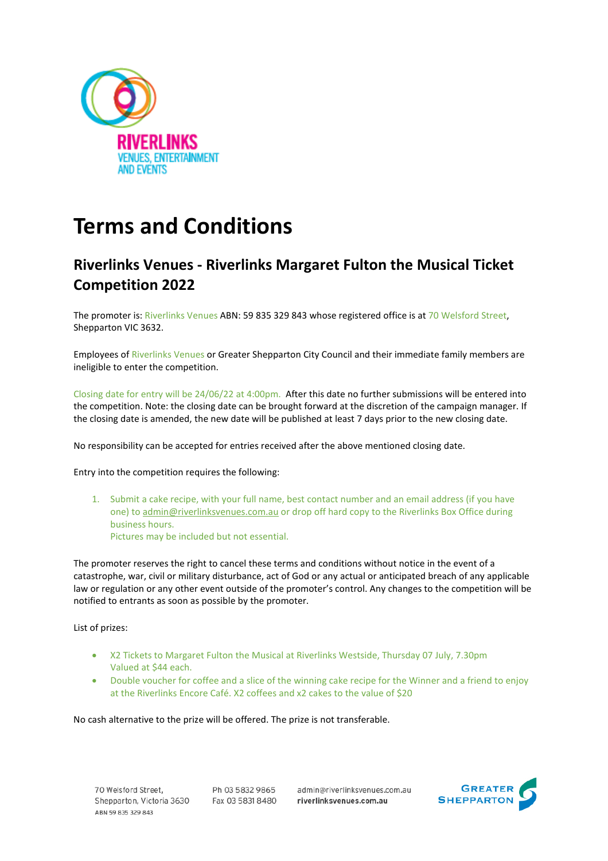

## **Terms and Conditions**

## **Riverlinks Venues - Riverlinks Margaret Fulton the Musical Ticket Competition 2022**

The promoter is: Riverlinks Venues ABN: 59 835 329 843 whose registered office is at 70 Welsford Street, Shepparton VIC 3632.

Employees of Riverlinks Venues or Greater Shepparton City Council and their immediate family members are ineligible to enter the competition.

Closing date for entry will be 24/06/22 at 4:00pm. After this date no further submissions will be entered into the competition. Note: the closing date can be brought forward at the discretion of the campaign manager. If the closing date is amended, the new date will be published at least 7 days prior to the new closing date.

No responsibility can be accepted for entries received after the above mentioned closing date.

Entry into the competition requires the following:

1. Submit a cake recipe, with your full name, best contact number and an email address (if you have one) t[o admin@riverlinksvenues.com.au](mailto:admin@riverlinksvenues.com.au) or drop off hard copy to the Riverlinks Box Office during business hours. Pictures may be included but not essential.

The promoter reserves the right to cancel these terms and conditions without notice in the event of a catastrophe, war, civil or military disturbance, act of God or any actual or anticipated breach of any applicable law or regulation or any other event outside of the promoter's control. Any changes to the competition will be notified to entrants as soon as possible by the promoter.

List of prizes:

- X2 Tickets to Margaret Fulton the Musical at Riverlinks Westside, Thursday 07 July, 7.30pm Valued at \$44 each.
- Double voucher for coffee and a slice of the winning cake recipe for the Winner and a friend to enjoy at the Riverlinks Encore Café. X2 coffees and x2 cakes to the value of \$20

No cash alternative to the prize will be offered. The prize is not transferable.

70 Welsford Street, Shepparton, Victoria 3630 ABN 59 835 329 843

Ph 03 5832 9865 Fax 03 5831 8480 admin@riverlinksvenues.com.au riverlinksvenues.com.au